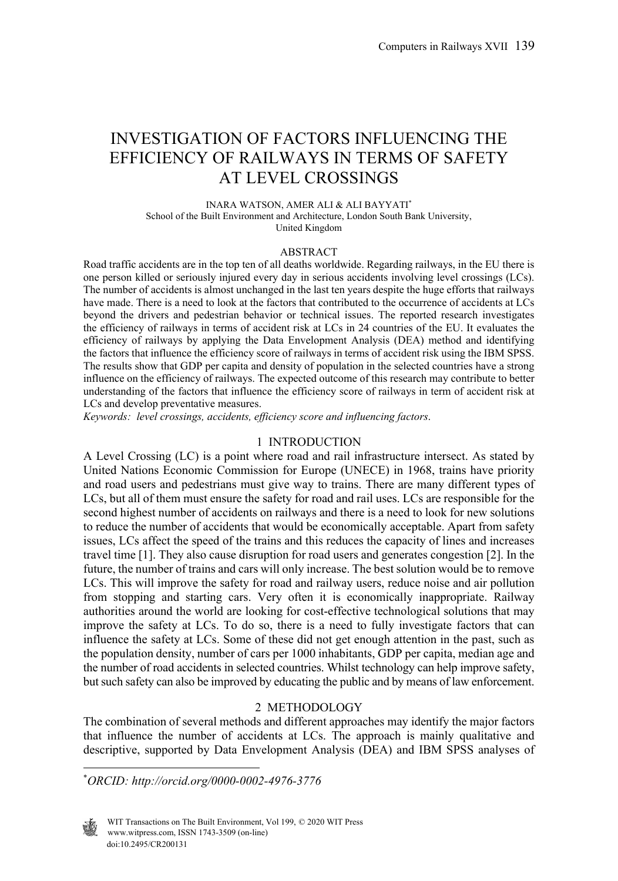# INVESTIGATION OF FACTORS INFLUENCING THE EFFICIENCY OF RAILWAYS IN TERMS OF SAFETY AT LEVEL CROSSINGS

INARA WATSON, AMER ALI & ALI BAYYATI\* School of the Built Environment and Architecture, London South Bank University, United Kingdom

#### ABSTRACT

Road traffic accidents are in the top ten of all deaths worldwide. Regarding railways, in the EU there is one person killed or seriously injured every day in serious accidents involving level crossings (LCs). The number of accidents is almost unchanged in the last ten years despite the huge efforts that railways have made. There is a need to look at the factors that contributed to the occurrence of accidents at LCs beyond the drivers and pedestrian behavior or technical issues. The reported research investigates the efficiency of railways in terms of accident risk at LCs in 24 countries of the EU. It evaluates the efficiency of railways by applying the Data Envelopment Analysis (DEA) method and identifying the factors that influence the efficiency score of railways in terms of accident risk using the IBM SPSS. The results show that GDP per capita and density of population in the selected countries have a strong influence on the efficiency of railways. The expected outcome of this research may contribute to better understanding of the factors that influence the efficiency score of railways in term of accident risk at LCs and develop preventative measures.

*Keywords: level crossings, accidents, efficiency score and influencing factors*.

#### 1 INTRODUCTION

A Level Crossing (LC) is a point where road and rail infrastructure intersect. As stated by United Nations Economic Commission for Europe (UNECE) in 1968, trains have priority and road users and pedestrians must give way to trains. There are many different types of LCs, but all of them must ensure the safety for road and rail uses. LCs are responsible for the second highest number of accidents on railways and there is a need to look for new solutions to reduce the number of accidents that would be economically acceptable. Apart from safety issues, LCs affect the speed of the trains and this reduces the capacity of lines and increases travel time [1]. They also cause disruption for road users and generates congestion [2]. In the future, the number of trains and cars will only increase. The best solution would be to remove LCs. This will improve the safety for road and railway users, reduce noise and air pollution from stopping and starting cars. Very often it is economically inappropriate. Railway authorities around the world are looking for cost-effective technological solutions that may improve the safety at LCs. To do so, there is a need to fully investigate factors that can influence the safety at LCs. Some of these did not get enough attention in the past, such as the population density, number of cars per 1000 inhabitants, GDP per capita, median age and the number of road accidents in selected countries. Whilst technology can help improve safety, but such safety can also be improved by educating the public and by means of law enforcement.

#### 2 METHODOLOGY

The combination of several methods and different approaches may identify the major factors that influence the number of accidents at LCs. The approach is mainly qualitative and descriptive, supported by Data Envelopment Analysis (DEA) and IBM SPSS analyses of

\* *ORCID: http://orcid.org/0000-0002-4976-3776* 

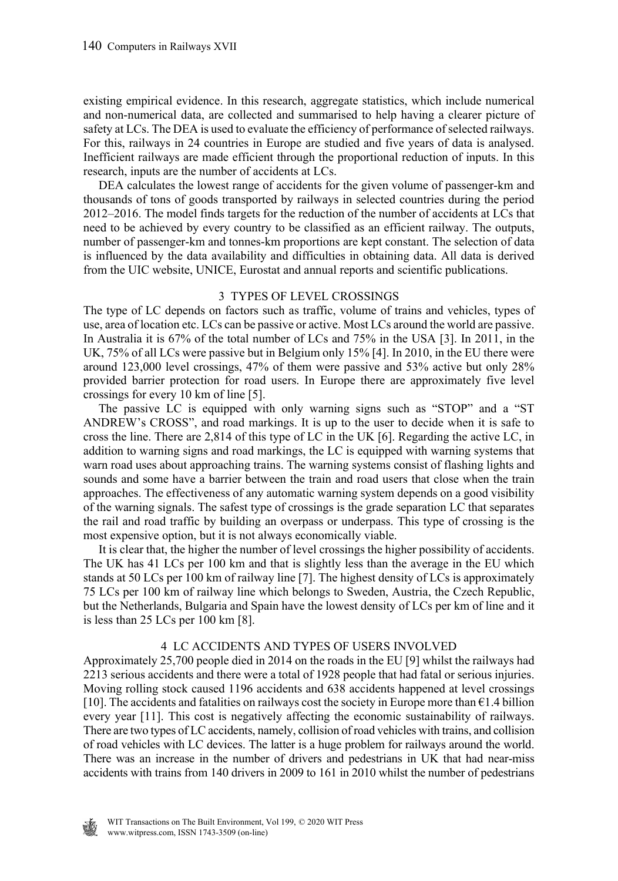existing empirical evidence. In this research, aggregate statistics, which include numerical and non-numerical data, are collected and summarised to help having a clearer picture of safety at LCs. The DEA is used to evaluate the efficiency of performance of selected railways. For this, railways in 24 countries in Europe are studied and five years of data is analysed. Inefficient railways are made efficient through the proportional reduction of inputs. In this research, inputs are the number of accidents at LCs.

 DEA calculates the lowest range of accidents for the given volume of passenger-km and thousands of tons of goods transported by railways in selected countries during the period 2012–2016. The model finds targets for the reduction of the number of accidents at LCs that need to be achieved by every country to be classified as an efficient railway. The outputs, number of passenger-km and tonnes-km proportions are kept constant. The selection of data is influenced by the data availability and difficulties in obtaining data. All data is derived from the UIC website, UNICE, Eurostat and annual reports and scientific publications.

## 3 TYPES OF LEVEL CROSSINGS

The type of LC depends on factors such as traffic, volume of trains and vehicles, types of use, area of location etc. LCs can be passive or active. Most LCs around the world are passive. In Australia it is 67% of the total number of LCs and 75% in the USA [3]. In 2011, in the UK, 75% of all LCs were passive but in Belgium only 15% [4]. In 2010, in the EU there were around 123,000 level crossings, 47% of them were passive and 53% active but only 28% provided barrier protection for road users. In Europe there are approximately five level crossings for every 10 km of line [5].

 The passive LC is equipped with only warning signs such as "STOP" and a "ST ANDREW's CROSS", and road markings. It is up to the user to decide when it is safe to cross the line. There are 2,814 of this type of LC in the UK [6]. Regarding the active LC, in addition to warning signs and road markings, the LC is equipped with warning systems that warn road uses about approaching trains. The warning systems consist of flashing lights and sounds and some have a barrier between the train and road users that close when the train approaches. The effectiveness of any automatic warning system depends on a good visibility of the warning signals. The safest type of crossings is the grade separation LC that separates the rail and road traffic by building an overpass or underpass. This type of crossing is the most expensive option, but it is not always economically viable.

 It is clear that, the higher the number of level crossings the higher possibility of accidents. The UK has 41 LCs per 100 km and that is slightly less than the average in the EU which stands at 50 LCs per 100 km of railway line [7]. The highest density of LCs is approximately 75 LCs per 100 km of railway line which belongs to Sweden, Austria, the Czech Republic, but the Netherlands, Bulgaria and Spain have the lowest density of LCs per km of line and it is less than 25 LCs per 100 km [8].

## 4 LC ACCIDENTS AND TYPES OF USERS INVOLVED

Approximately 25,700 people died in 2014 on the roads in the EU [9] whilst the railways had 2213 serious accidents and there were a total of 1928 people that had fatal or serious injuries. Moving rolling stock caused 1196 accidents and 638 accidents happened at level crossings [10]. The accidents and fatalities on railways cost the society in Europe more than  $\epsilon$ 1.4 billion every year [11]. This cost is negatively affecting the economic sustainability of railways. There are two types of LC accidents, namely, collision of road vehicles with trains, and collision of road vehicles with LC devices. The latter is a huge problem for railways around the world. There was an increase in the number of drivers and pedestrians in UK that had near-miss accidents with trains from 140 drivers in 2009 to 161 in 2010 whilst the number of pedestrians

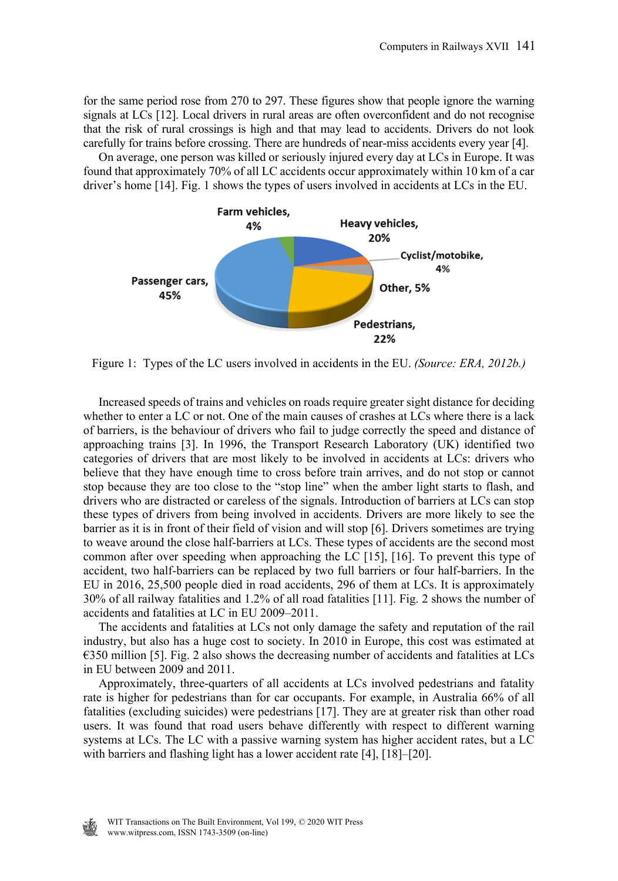for the same period rose from 270 to 297. These figures show that people ignore the warning signals at LCs [12]. Local drivers in rural areas are often overconfident and do not recognise that the risk of rural crossings is high and that may lead to accidents. Drivers do not look carefully for trains before crossing. There are hundreds of near-miss accidents every year [4].

 On average, one person was killed or seriously injured every day at LCs in Europe. It was found that approximately 70% of all LC accidents occur approximately within 10 km of a car driver's home [14]. Fig. 1 shows the types of users involved in accidents at LCs in the EU.



Figure 1: Types of the LC users involved in accidents in the EU. *(Source: ERA, 2012b.)*

 Increased speeds of trains and vehicles on roads require greater sight distance for deciding whether to enter a LC or not. One of the main causes of crashes at LCs where there is a lack of barriers, is the behaviour of drivers who fail to judge correctly the speed and distance of approaching trains [3]. In 1996, the Transport Research Laboratory (UK) identified two categories of drivers that are most likely to be involved in accidents at LCs: drivers who believe that they have enough time to cross before train arrives, and do not stop or cannot stop because they are too close to the "stop line" when the amber light starts to flash, and drivers who are distracted or careless of the signals. Introduction of barriers at LCs can stop these types of drivers from being involved in accidents. Drivers are more likely to see the barrier as it is in front of their field of vision and will stop [6]. Drivers sometimes are trying to weave around the close half-barriers at LCs. These types of accidents are the second most common after over speeding when approaching the LC [15], [16]. To prevent this type of accident, two half-barriers can be replaced by two full barriers or four half-barriers. In the EU in 2016, 25,500 people died in road accidents, 296 of them at LCs. It is approximately 30% of all railway fatalities and 1.2% of all road fatalities [11]. Fig. 2 shows the number of accidents and fatalities at LC in EU 2009–2011.

 The accidents and fatalities at LCs not only damage the safety and reputation of the rail industry, but also has a huge cost to society. In 2010 in Europe, this cost was estimated at  $\epsilon$ 350 million [5]. Fig. 2 also shows the decreasing number of accidents and fatalities at LCs in EU between 2009 and 2011.

 Approximately, three-quarters of all accidents at LCs involved pedestrians and fatality rate is higher for pedestrians than for car occupants. For example, in Australia 66% of all fatalities (excluding suicides) were pedestrians [17]. They are at greater risk than other road users. It was found that road users behave differently with respect to different warning systems at LCs. The LC with a passive warning system has higher accident rates, but a LC with barriers and flashing light has a lower accident rate [4], [18]–[20].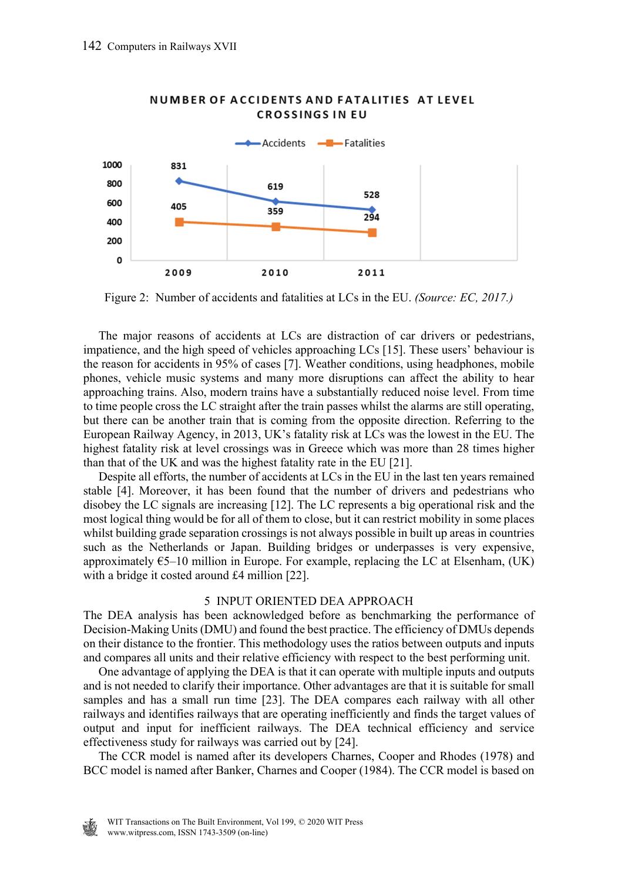

#### NUMBER OF ACCIDENTS AND FATALITIES AT LEVEL **CROSSINGS IN EU**

Figure 2: Number of accidents and fatalities at LCs in the EU. *(Source: EC, 2017.)*

 The major reasons of accidents at LCs are distraction of car drivers or pedestrians, impatience, and the high speed of vehicles approaching LCs [15]. These users' behaviour is the reason for accidents in 95% of cases [7]. Weather conditions, using headphones, mobile phones, vehicle music systems and many more disruptions can affect the ability to hear approaching trains. Also, modern trains have a substantially reduced noise level. From time to time people cross the LC straight after the train passes whilst the alarms are still operating, but there can be another train that is coming from the opposite direction. Referring to the European Railway Agency, in 2013, UK's fatality risk at LCs was the lowest in the EU. The highest fatality risk at level crossings was in Greece which was more than 28 times higher than that of the UK and was the highest fatality rate in the EU [21].

 Despite all efforts, the number of accidents at LCs in the EU in the last ten years remained stable [4]. Moreover, it has been found that the number of drivers and pedestrians who disobey the LC signals are increasing [12]. The LC represents a big operational risk and the most logical thing would be for all of them to close, but it can restrict mobility in some places whilst building grade separation crossings is not always possible in built up areas in countries such as the Netherlands or Japan. Building bridges or underpasses is very expensive, approximately  $65-10$  million in Europe. For example, replacing the LC at Elsenham, (UK) with a bridge it costed around £4 million [22].

#### 5 INPUT ORIENTED DEA APPROACH

The DEA analysis has been acknowledged before as benchmarking the performance of Decision-Making Units (DMU) and found the best practice. The efficiency of DMUs depends on their distance to the frontier. This methodology uses the ratios between outputs and inputs and compares all units and their relative efficiency with respect to the best performing unit.

 One advantage of applying the DEA is that it can operate with multiple inputs and outputs and is not needed to clarify their importance. Other advantages are that it is suitable for small samples and has a small run time [23]. The DEA compares each railway with all other railways and identifies railways that are operating inefficiently and finds the target values of output and input for inefficient railways. The DEA technical efficiency and service effectiveness study for railways was carried out by [24].

 The CCR model is named after its developers Charnes, Cooper and Rhodes (1978) and BCC model is named after Banker, Charnes and Cooper (1984). The CCR model is based on

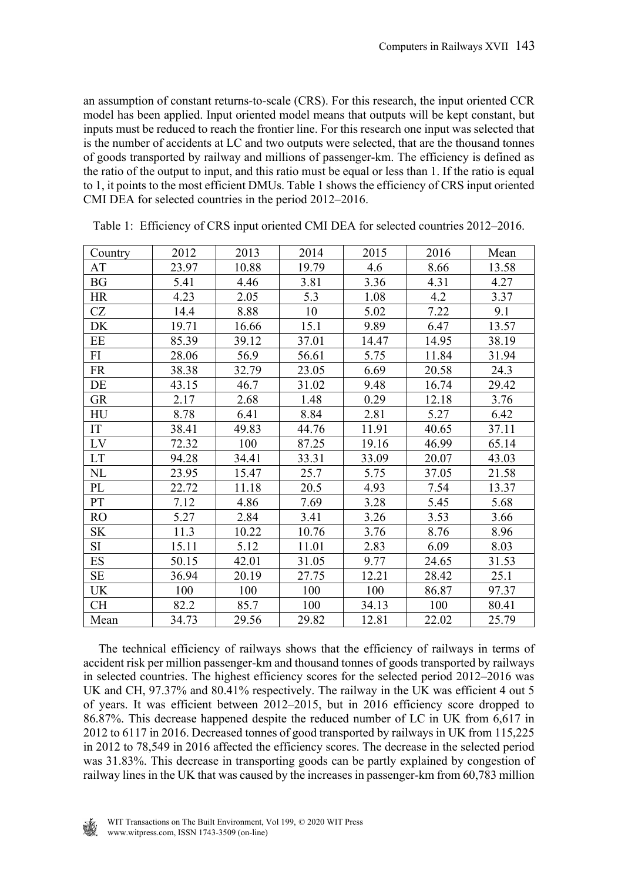an assumption of constant returns-to-scale (CRS). For this research, the input oriented CCR model has been applied. Input oriented model means that outputs will be kept constant, but inputs must be reduced to reach the frontier line. For this research one input was selected that is the number of accidents at LC and two outputs were selected, that are the thousand tonnes of goods transported by railway and millions of passenger-km. The efficiency is defined as the ratio of the output to input, and this ratio must be equal or less than 1. If the ratio is equal to 1, it points to the most efficient DMUs. Table 1 shows the efficiency of CRS input oriented CMI DEA for selected countries in the period 2012–2016.

| Country   | 2012  | 2013  | 2014  | 2015  | 2016  | Mean  |
|-----------|-------|-------|-------|-------|-------|-------|
| AT        | 23.97 | 10.88 | 19.79 | 4.6   | 8.66  | 13.58 |
| <b>BG</b> | 5.41  | 4.46  | 3.81  | 3.36  | 4.31  | 4.27  |
| HR        | 4.23  | 2.05  | 5.3   | 1.08  | 4.2   | 3.37  |
| CZ        | 14.4  | 8.88  | 10    | 5.02  | 7.22  | 9.1   |
| DK        | 19.71 | 16.66 | 15.1  | 9.89  | 6.47  | 13.57 |
| EE        | 85.39 | 39.12 | 37.01 | 14.47 | 14.95 | 38.19 |
| FI        | 28.06 | 56.9  | 56.61 | 5.75  | 11.84 | 31.94 |
| <b>FR</b> | 38.38 | 32.79 | 23.05 | 6.69  | 20.58 | 24.3  |
| DE        | 43.15 | 46.7  | 31.02 | 9.48  | 16.74 | 29.42 |
| <b>GR</b> | 2.17  | 2.68  | 1.48  | 0.29  | 12.18 | 3.76  |
| HU        | 8.78  | 6.41  | 8.84  | 2.81  | 5.27  | 6.42  |
| IT        | 38.41 | 49.83 | 44.76 | 11.91 | 40.65 | 37.11 |
| LV        | 72.32 | 100   | 87.25 | 19.16 | 46.99 | 65.14 |
| LT        | 94.28 | 34.41 | 33.31 | 33.09 | 20.07 | 43.03 |
| NL        | 23.95 | 15.47 | 25.7  | 5.75  | 37.05 | 21.58 |
| PL        | 22.72 | 11.18 | 20.5  | 4.93  | 7.54  | 13.37 |
| PT        | 7.12  | 4.86  | 7.69  | 3.28  | 5.45  | 5.68  |
| <b>RO</b> | 5.27  | 2.84  | 3.41  | 3.26  | 3.53  | 3.66  |
| SΚ        | 11.3  | 10.22 | 10.76 | 3.76  | 8.76  | 8.96  |
| SI        | 15.11 | 5.12  | 11.01 | 2.83  | 6.09  | 8.03  |
| ES        | 50.15 | 42.01 | 31.05 | 9.77  | 24.65 | 31.53 |
| SE        | 36.94 | 20.19 | 27.75 | 12.21 | 28.42 | 25.1  |
| UK        | 100   | 100   | 100   | 100   | 86.87 | 97.37 |
| CН        | 82.2  | 85.7  | 100   | 34.13 | 100   | 80.41 |
| Mean      | 34.73 | 29.56 | 29.82 | 12.81 | 22.02 | 25.79 |

Table 1: Efficiency of CRS input oriented CMI DEA for selected countries 2012–2016.

 The technical efficiency of railways shows that the efficiency of railways in terms of accident risk per million passenger-km and thousand tonnes of goods transported by railways in selected countries. The highest efficiency scores for the selected period 2012–2016 was UK and CH, 97.37% and 80.41% respectively. The railway in the UK was efficient 4 out 5 of years. It was efficient between 2012–2015, but in 2016 efficiency score dropped to 86.87%. This decrease happened despite the reduced number of LC in UK from 6,617 in 2012 to 6117 in 2016. Decreased tonnes of good transported by railways in UK from 115,225 in 2012 to 78,549 in 2016 affected the efficiency scores. The decrease in the selected period was 31.83%. This decrease in transporting goods can be partly explained by congestion of railway lines in the UK that was caused by the increases in passenger-km from 60,783 million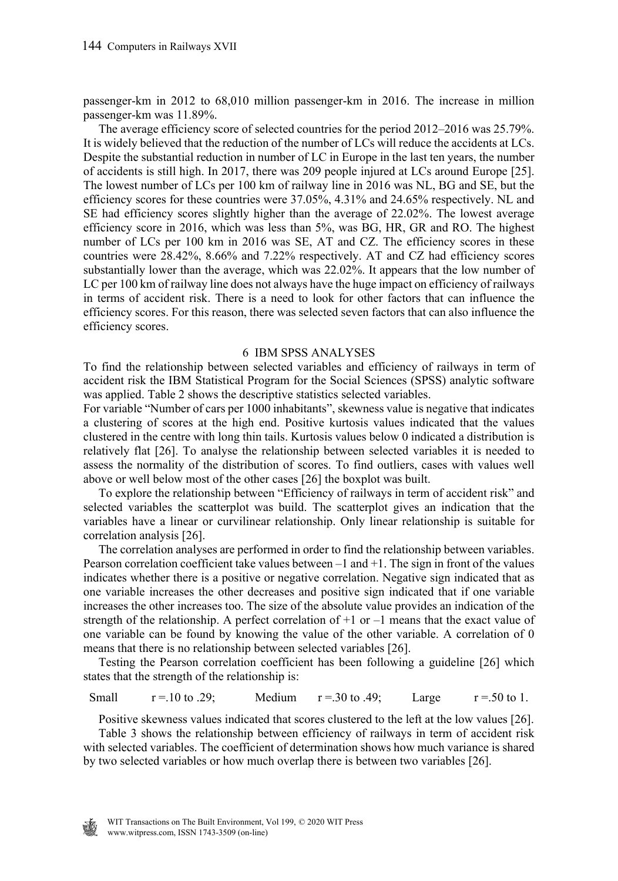passenger-km in 2012 to 68,010 million passenger-km in 2016. The increase in million passenger-km was 11.89%.

 The average efficiency score of selected countries for the period 2012–2016 was 25.79%. It is widely believed that the reduction of the number of LCs will reduce the accidents at LCs. Despite the substantial reduction in number of LC in Europe in the last ten years, the number of accidents is still high. In 2017, there was 209 people injured at LCs around Europe [25]. The lowest number of LCs per 100 km of railway line in 2016 was NL, BG and SE, but the efficiency scores for these countries were 37.05%, 4.31% and 24.65% respectively. NL and SE had efficiency scores slightly higher than the average of 22.02%. The lowest average efficiency score in 2016, which was less than 5%, was BG, HR, GR and RO. The highest number of LCs per 100 km in 2016 was SE, AT and CZ. The efficiency scores in these countries were 28.42%, 8.66% and 7.22% respectively. AT and CZ had efficiency scores substantially lower than the average, which was 22.02%. It appears that the low number of LC per 100 km of railway line does not always have the huge impact on efficiency of railways in terms of accident risk. There is a need to look for other factors that can influence the efficiency scores. For this reason, there was selected seven factors that can also influence the efficiency scores.

#### 6 IBM SPSS ANALYSES

To find the relationship between selected variables and efficiency of railways in term of accident risk the IBM Statistical Program for the Social Sciences (SPSS) analytic software was applied. Table 2 shows the descriptive statistics selected variables.

For variable "Number of cars per 1000 inhabitants", skewness value is negative that indicates a clustering of scores at the high end. Positive kurtosis values indicated that the values clustered in the centre with long thin tails. Kurtosis values below 0 indicated a distribution is relatively flat [26]. To analyse the relationship between selected variables it is needed to assess the normality of the distribution of scores. To find outliers, cases with values well above or well below most of the other cases [26] the boxplot was built.

 To explore the relationship between "Efficiency of railways in term of accident risk" and selected variables the scatterplot was build. The scatterplot gives an indication that the variables have a linear or curvilinear relationship. Only linear relationship is suitable for correlation analysis [26].

 The correlation analyses are performed in order to find the relationship between variables. Pearson correlation coefficient take values between  $-1$  and  $+1$ . The sign in front of the values indicates whether there is a positive or negative correlation. Negative sign indicated that as one variable increases the other decreases and positive sign indicated that if one variable increases the other increases too. The size of the absolute value provides an indication of the strength of the relationship. A perfect correlation of  $+1$  or  $-1$  means that the exact value of one variable can be found by knowing the value of the other variable. A correlation of 0 means that there is no relationship between selected variables [26].

 Testing the Pearson correlation coefficient has been following a guideline [26] which states that the strength of the relationship is:

Small  $r = .10$  to .29; Medium  $r = .30$  to .49; Large  $r = .50$  to 1.

 Positive skewness values indicated that scores clustered to the left at the low values [26]. Table 3 shows the relationship between efficiency of railways in term of accident risk with selected variables. The coefficient of determination shows how much variance is shared by two selected variables or how much overlap there is between two variables [26].

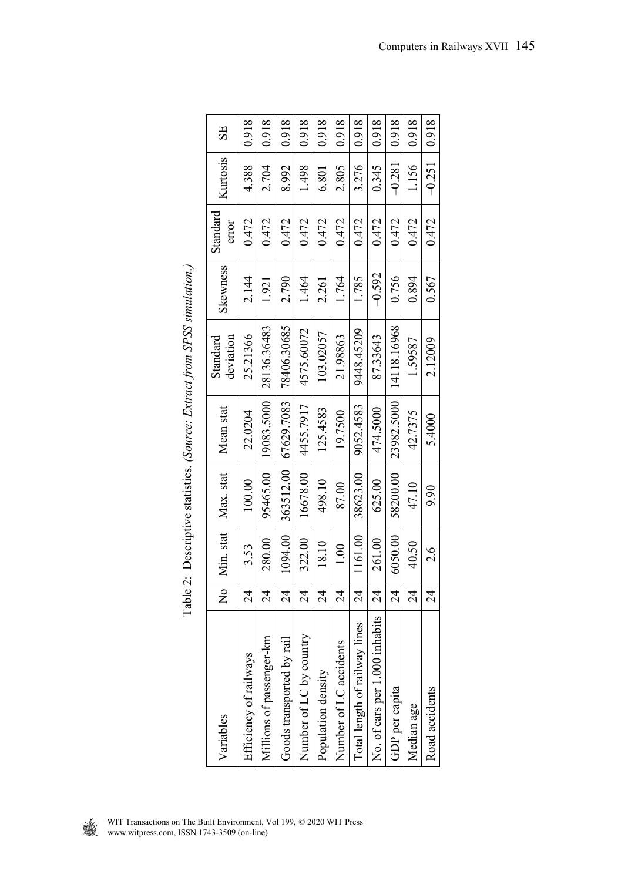| Variables                      | $\overline{\mathbf{z}}$  | Min. stat | Max. stat | Mean stat  | Standard    | Skewness | Standard | Kurtosis | SE    |
|--------------------------------|--------------------------|-----------|-----------|------------|-------------|----------|----------|----------|-------|
|                                |                          |           |           |            | deviation   |          | error    |          |       |
| Efficiency of railways         | $\overline{2}$           | 3.53      | 100.00    | 22.0204    | 25.21366    | 2.144    | 0.472    | 4.388    | 0.918 |
| Millions of passenger-km       | $\overline{24}$          | 280.00    | 95465.00  | 19083.5000 | 28136.36483 | 1.921    | 0.472    | 2.704    | 0.918 |
| Goods transported by rail      | $\overline{24}$          | 094.00    | 363512.00 | 67629.7083 | 78406.30685 | 2.790    | 0.472    | 8.992    | 0.918 |
| Number of LC by country        | $\overline{24}$          | 322.00    | 16678.00  | 4455.7917  | 4575.60072  | 1.464    | 0.472    | 1.498    | 0.918 |
| Population density             | $\overline{24}$          | 18.10     | 498.10    | 125.4583   | 103.02057   | 2.261    | 0.472    | 6.801    | 0.918 |
| Number of LC accidents         | $\overline{24}$          | 1.00      | 87.00     | 19.7500    | 21.98863    | 1.764    | 0.472    | 2.805    | 0.918 |
| Total length of railway lines  | 24                       | 1161.00   | 38623.00  | 9052.4583  | 9448.45209  | 1.785    | 0.472    | 3.276    | 0.918 |
| No. of cars per 1,000 inhabits | $\overline{2}$           | 261.00    | 625.00    | 474.5000   | 87.33643    | $-0.592$ | 0.472    | 0.345    | 0.918 |
| GDP per capita                 | $\overline{\mathcal{A}}$ | 6050.00   | 58200.00  | 23982.5000 | 14118.16968 | 0.756    | 0.472    | $-0.281$ | 0.918 |
| Median age                     | $\overline{2}$           | 40.50     | 47.10     | 42.7375    | 1.59587     | 0.894    | 0.472    | 1.156    | 0.918 |
| Road accidents                 | $\overline{24}$          | 2.6       | 9.90      | 5.4000     | 2.12009     | 0.567    | 0.472    | $-0.251$ | 0.918 |

| くうい | ì<br>֚֚֬                             |
|-----|--------------------------------------|
|     |                                      |
| ļ   | ֦֧֦֧֦֧֦֧֦֧֪֦֧֦֧֪֪ׅ֚֚֡֝֝֝֝֝֝ <b>֚</b> |
|     | i<br>$\frac{1}{2}$<br>$\sim$<br>ļ    |
|     |                                      |
|     | l<br>l<br>$\sqrt{2}$                 |
|     | ・・・・・・・ - 12:12<br>Ē<br>j            |

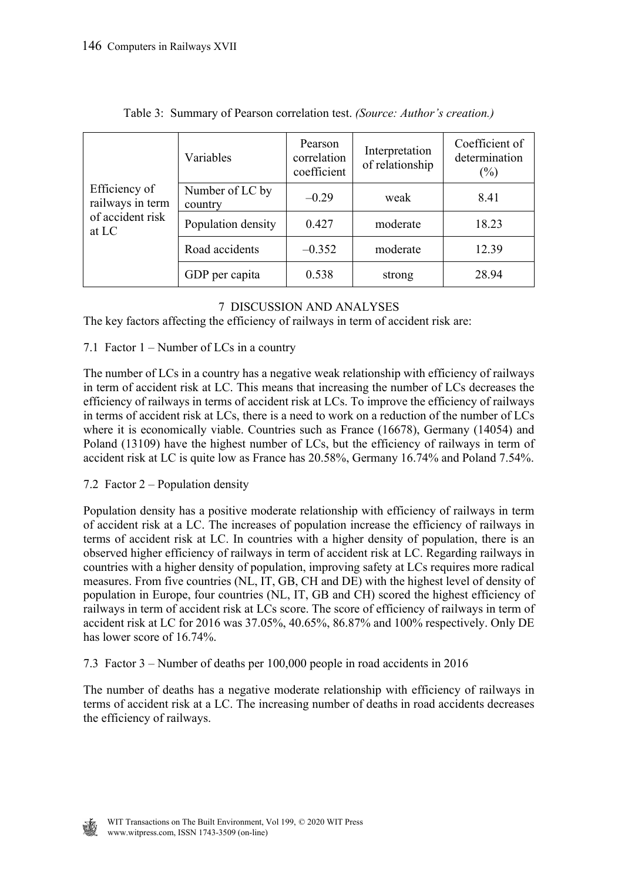|                                                                | Variables                  | Pearson<br>correlation<br>coefficient | Interpretation<br>of relationship | Coefficient of<br>determination<br>$(\%)$ |
|----------------------------------------------------------------|----------------------------|---------------------------------------|-----------------------------------|-------------------------------------------|
| Efficiency of<br>railways in term<br>of accident risk<br>at LC | Number of LC by<br>country | $-0.29$                               | weak                              | 8.41                                      |
|                                                                | Population density         | 0.427                                 | moderate                          | 18.23                                     |
|                                                                | Road accidents             | $-0.352$                              | moderate                          | 12.39                                     |
|                                                                | GDP per capita             | 0.538                                 | strong                            | 28.94                                     |

| Table 3: Summary of Pearson correlation test. (Source: Author's creation.) |  |
|----------------------------------------------------------------------------|--|
|                                                                            |  |

# 7 DISCUSSION AND ANALYSES

The key factors affecting the efficiency of railways in term of accident risk are:

# 7.1 Factor 1 – Number of LCs in a country

The number of LCs in a country has a negative weak relationship with efficiency of railways in term of accident risk at LC. This means that increasing the number of LCs decreases the efficiency of railways in terms of accident risk at LCs. To improve the efficiency of railways in terms of accident risk at LCs, there is a need to work on a reduction of the number of LCs where it is economically viable. Countries such as France (16678), Germany (14054) and Poland (13109) have the highest number of LCs, but the efficiency of railways in term of accident risk at LC is quite low as France has 20.58%, Germany 16.74% and Poland 7.54%.

# 7.2 Factor 2 – Population density

Population density has a positive moderate relationship with efficiency of railways in term of accident risk at a LC. The increases of population increase the efficiency of railways in terms of accident risk at LC. In countries with a higher density of population, there is an observed higher efficiency of railways in term of accident risk at LC. Regarding railways in countries with a higher density of population, improving safety at LCs requires more radical measures. From five countries (NL, IT, GB, CH and DE) with the highest level of density of population in Europe, four countries (NL, IT, GB and CH) scored the highest efficiency of railways in term of accident risk at LCs score. The score of efficiency of railways in term of accident risk at LC for 2016 was 37.05%, 40.65%, 86.87% and 100% respectively. Only DE has lower score of 16.74%.

7.3 Factor 3 – Number of deaths per 100,000 people in road accidents in 2016

The number of deaths has a negative moderate relationship with efficiency of railways in terms of accident risk at a LC. The increasing number of deaths in road accidents decreases the efficiency of railways.

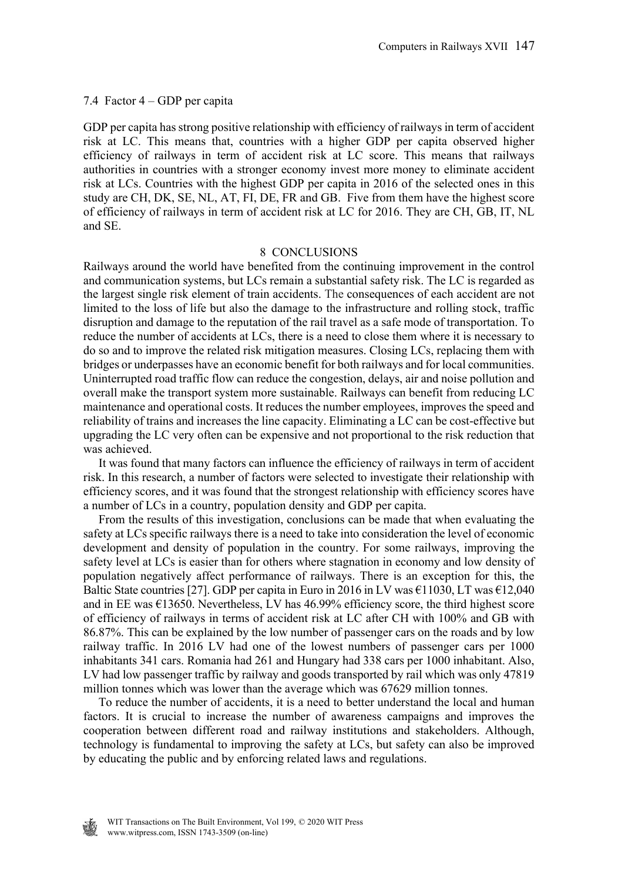#### 7.4 Factor 4 – GDP per capita

GDP per capita has strong positive relationship with efficiency of railways in term of accident risk at LC. This means that, countries with a higher GDP per capita observed higher efficiency of railways in term of accident risk at LC score. This means that railways authorities in countries with a stronger economy invest more money to eliminate accident risk at LCs. Countries with the highest GDP per capita in 2016 of the selected ones in this study are CH, DK, SE, NL, AT, FI, DE, FR and GB. Five from them have the highest score of efficiency of railways in term of accident risk at LC for 2016. They are CH, GB, IT, NL and SE.

#### 8 CONCLUSIONS

Railways around the world have benefited from the continuing improvement in the control and communication systems, but LCs remain a substantial safety risk. The LC is regarded as the largest single risk element of train accidents. The consequences of each accident are not limited to the loss of life but also the damage to the infrastructure and rolling stock, traffic disruption and damage to the reputation of the rail travel as a safe mode of transportation. To reduce the number of accidents at LCs, there is a need to close them where it is necessary to do so and to improve the related risk mitigation measures. Closing LCs, replacing them with bridges or underpasses have an economic benefit for both railways and for local communities. Uninterrupted road traffic flow can reduce the congestion, delays, air and noise pollution and overall make the transport system more sustainable. Railways can benefit from reducing LC maintenance and operational costs. It reduces the number employees, improves the speed and reliability of trains and increases the line capacity. Eliminating a LC can be cost-effective but upgrading the LC very often can be expensive and not proportional to the risk reduction that was achieved.

 It was found that many factors can influence the efficiency of railways in term of accident risk. In this research, a number of factors were selected to investigate their relationship with efficiency scores, and it was found that the strongest relationship with efficiency scores have a number of LCs in a country, population density and GDP per capita.

 From the results of this investigation, conclusions can be made that when evaluating the safety at LCs specific railways there is a need to take into consideration the level of economic development and density of population in the country. For some railways, improving the safety level at LCs is easier than for others where stagnation in economy and low density of population negatively affect performance of railways. There is an exception for this, the Baltic State countries [27]. GDP per capita in Euro in 2016 in LV was  $\epsilon$ 11030, LT was  $\epsilon$ 12,040 and in EE was  $\epsilon$ 13650. Nevertheless, LV has 46.99% efficiency score, the third highest score of efficiency of railways in terms of accident risk at LC after CH with 100% and GB with 86.87%. This can be explained by the low number of passenger cars on the roads and by low railway traffic. In 2016 LV had one of the lowest numbers of passenger cars per 1000 inhabitants 341 cars. Romania had 261 and Hungary had 338 cars per 1000 inhabitant. Also, LV had low passenger traffic by railway and goods transported by rail which was only 47819 million tonnes which was lower than the average which was 67629 million tonnes.

 To reduce the number of accidents, it is a need to better understand the local and human factors. It is crucial to increase the number of awareness campaigns and improves the cooperation between different road and railway institutions and stakeholders. Although, technology is fundamental to improving the safety at LCs, but safety can also be improved by educating the public and by enforcing related laws and regulations.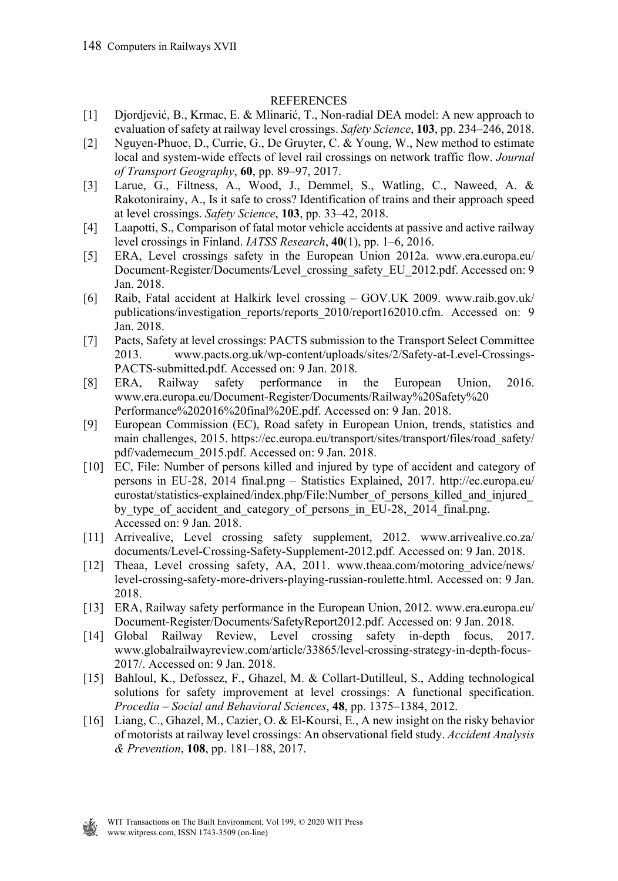## **REFERENCES**

- [1] Djordjević, B., Krmac, E. & Mlinarić, T., Non-radial DEA model: A new approach to evaluation of safety at railway level crossings. *Safety Science*, **103**, pp. 234–246, 2018.
- [2] Nguyen-Phuoc, D., Currie, G., De Gruyter, C. & Young, W., New method to estimate local and system-wide effects of level rail crossings on network traffic flow. *Journal of Transport Geography*, **60**, pp. 89–97, 2017.
- [3] Larue, G., Filtness, A., Wood, J., Demmel, S., Watling, C., Naweed, A. & Rakotonirainy, A., Is it safe to cross? Identification of trains and their approach speed at level crossings. *Safety Science*, **103**, pp. 33–42, 2018.
- [4] Laapotti, S., Comparison of fatal motor vehicle accidents at passive and active railway level crossings in Finland. *IATSS Research*, **40**(1), pp. 1–6, 2016.
- [5] ERA, Level crossings safety in the European Union 2012a. www.era.europa.eu/ Document-Register/Documents/Level\_crossing\_safety\_EU\_2012.pdf. Accessed on: 9 Jan. 2018.
- [6] Raib, Fatal accident at Halkirk level crossing GOV.UK 2009. www.raib.gov.uk/ publications/investigation\_reports/reports\_2010/report162010.cfm. Accessed on: 9 Jan. 2018.
- [7] Pacts, Safety at level crossings: PACTS submission to the Transport Select Committee 2013. www.pacts.org.uk/wp-content/uploads/sites/2/Safety-at-Level-Crossings-PACTS-submitted.pdf. Accessed on: 9 Jan. 2018.
- [8] ERA, Railway safety performance in the European Union, 2016. www.era.europa.eu/Document-Register/Documents/Railway%20Safety%20 Performance%202016%20final%20E.pdf. Accessed on: 9 Jan. 2018.
- [9] European Commission (EC), Road safety in European Union, trends, statistics and main challenges, 2015. https://ec.europa.eu/transport/sites/transport/files/road\_safety/ pdf/vademecum\_2015.pdf. Accessed on: 9 Jan. 2018.
- [10] EC, File: Number of persons killed and injured by type of accident and category of persons in EU-28, 2014 final.png – Statistics Explained, 2017. http://ec.europa.eu/ eurostat/statistics-explained/index.php/File:Number\_of\_persons\_killed\_and\_injured\_ by type of accident and category of persons in EU-28, 2014 final.png. Accessed on: 9 Jan. 2018.
- [11] Arrivealive, Level crossing safety supplement, 2012. www.arrivealive.co.za/ documents/Level-Crossing-Safety-Supplement-2012.pdf. Accessed on: 9 Jan. 2018.
- [12] Theaa, Level crossing safety, AA, 2011. www.theaa.com/motoring\_advice/news/ level-crossing-safety-more-drivers-playing-russian-roulette.html. Accessed on: 9 Jan. 2018.
- [13] ERA, Railway safety performance in the European Union, 2012. www.era.europa.eu/ Document-Register/Documents/SafetyReport2012.pdf. Accessed on: 9 Jan. 2018.
- [14] Global Railway Review, Level crossing safety in-depth focus, 2017. www.globalrailwayreview.com/article/33865/level-crossing-strategy-in-depth-focus-2017/. Accessed on: 9 Jan. 2018.
- [15] Bahloul, K., Defossez, F., Ghazel, M. & Collart-Dutilleul, S., Adding technological solutions for safety improvement at level crossings: A functional specification. *Procedia – Social and Behavioral Sciences*, **48**, pp. 1375–1384, 2012.
- [16] Liang, C., Ghazel, M., Cazier, O. & El-Koursi, E., A new insight on the risky behavior of motorists at railway level crossings: An observational field study. *Accident Analysis & Prevention*, **108**, pp. 181–188, 2017.